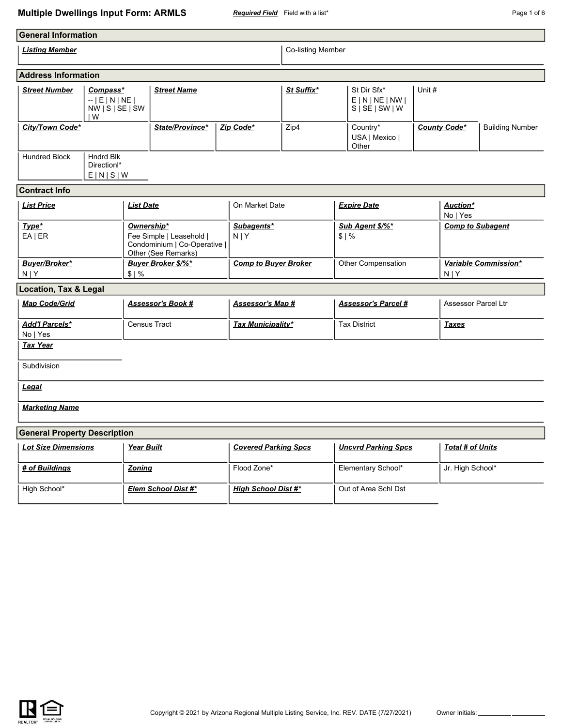# **Multiple Dwellings Input Form: ARMLS** *Required Field* Field with a list\* **Page 1 of 6** Page 1 of 6

| <b>General Information</b>                                                       |                                                       |                                                                                               |                                                          |                         |                             |                            |                                              |                               |                            |                         |  |
|----------------------------------------------------------------------------------|-------------------------------------------------------|-----------------------------------------------------------------------------------------------|----------------------------------------------------------|-------------------------|-----------------------------|----------------------------|----------------------------------------------|-------------------------------|----------------------------|-------------------------|--|
| <b>Listing Member</b>                                                            |                                                       |                                                                                               |                                                          |                         | Co-listing Member           |                            |                                              |                               |                            |                         |  |
| <b>Address Information</b>                                                       |                                                       |                                                                                               |                                                          |                         |                             |                            |                                              |                               |                            |                         |  |
| <b>Street Number</b><br>Compass*<br>$-$   E   N   NE  <br>NW   S   SE   SW<br>IW |                                                       | <b>Street Name</b>                                                                            |                                                          |                         | St Suffix*                  |                            | St Dir Sfx*<br>E N NE NW <br>S   SE   SW   W | Unit #                        |                            |                         |  |
| City/Town Code*                                                                  |                                                       | State/Province*                                                                               |                                                          | Zip Code*               | Zip4                        |                            | Country*<br>USA   Mexico  <br>Other          |                               | <b>County Code*</b>        | <b>Building Number</b>  |  |
| <b>Hundred Block</b>                                                             | <b>Hndrd Blk</b><br>Direction <sup>*</sup><br>E[N S W |                                                                                               |                                                          |                         |                             |                            |                                              |                               |                            |                         |  |
| <b>Contract Info</b>                                                             |                                                       |                                                                                               |                                                          |                         |                             |                            |                                              |                               |                            |                         |  |
| <b>List Price</b>                                                                |                                                       | <b>List Date</b>                                                                              |                                                          |                         | On Market Date              |                            |                                              | <b>Expire Date</b>            |                            | Auction*<br>No   Yes    |  |
| Type*<br>$EA$   ER                                                               |                                                       | Ownership*<br>Fee Simple   Leasehold  <br>Condominium   Co-Operative  <br>Other (See Remarks) |                                                          | Subagents*<br>N   Y     |                             | Sub Agent \$/%*<br>\$1%    |                                              | <b>Comp to Subagent</b>       |                            |                         |  |
| Buyer/Broker*<br>N Y<br>\$1%                                                     |                                                       |                                                                                               | <b>Buyer Broker \$/%*</b><br><b>Comp to Buyer Broker</b> |                         | Other Compensation          |                            |                                              | Variable Commission*<br>N   Y |                            |                         |  |
| <b>Location, Tax &amp; Legal</b>                                                 |                                                       |                                                                                               |                                                          |                         |                             |                            |                                              |                               |                            |                         |  |
| Map Code/Grid                                                                    |                                                       | <b>Assessor's Book #</b>                                                                      |                                                          | <b>Assessor's Map #</b> |                             | <b>Assessor's Parcel #</b> |                                              |                               | <b>Assessor Parcel Ltr</b> |                         |  |
| <b>Add'I Parcels*</b><br>No   Yes                                                |                                                       |                                                                                               | <b>Census Tract</b>                                      |                         | Tax Municipality*           |                            |                                              | <b>Tax District</b>           |                            | <b>Taxes</b>            |  |
| <b>Tax Year</b>                                                                  |                                                       |                                                                                               |                                                          |                         |                             |                            |                                              |                               |                            |                         |  |
| Subdivision                                                                      |                                                       |                                                                                               |                                                          |                         |                             |                            |                                              |                               |                            |                         |  |
| Legal                                                                            |                                                       |                                                                                               |                                                          |                         |                             |                            |                                              |                               |                            |                         |  |
| <b>Marketing Name</b>                                                            |                                                       |                                                                                               |                                                          |                         |                             |                            |                                              |                               |                            |                         |  |
| <b>General Property Description</b>                                              |                                                       |                                                                                               |                                                          |                         |                             |                            |                                              |                               |                            |                         |  |
| <b>Lot Size Dimensions</b>                                                       |                                                       | Year Built                                                                                    |                                                          |                         | <b>Covered Parking Spcs</b> |                            |                                              | <b>Uncvrd Parking Spcs</b>    |                            | <b>Total # of Units</b> |  |
| # of Buildings                                                                   |                                                       | <b>Zoning</b>                                                                                 |                                                          |                         | Flood Zone*                 |                            |                                              | Elementary School*            |                            | Jr. High School*        |  |
| High School*                                                                     |                                                       |                                                                                               | <b>Elem School Dist #*</b>                               |                         | <b>High School Dist #*</b>  |                            |                                              | Out of Area Schl Dst          |                            |                         |  |

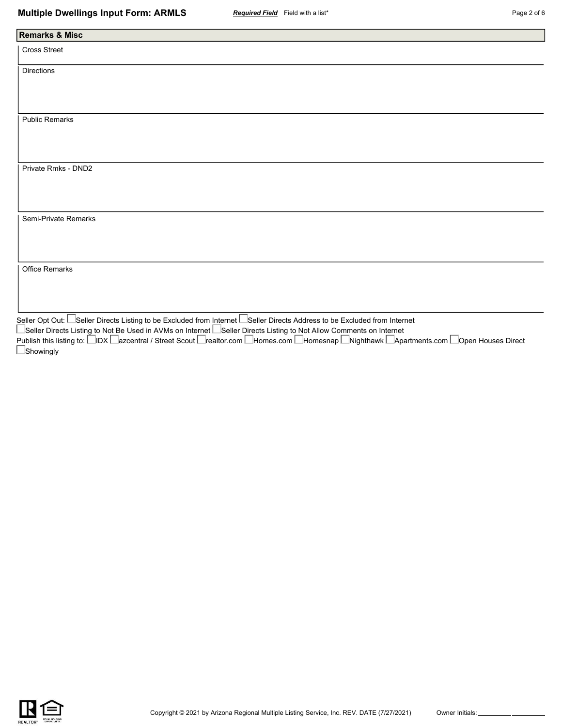| <b>Remarks &amp; Misc</b> |        |  |
|---------------------------|--------|--|
| Cross Street              |        |  |
|                           |        |  |
| Directions                |        |  |
|                           |        |  |
|                           |        |  |
|                           |        |  |
| <b>Public Remarks</b>     |        |  |
|                           |        |  |
|                           |        |  |
|                           |        |  |
| Private Rmks - DND2       |        |  |
|                           |        |  |
|                           |        |  |
|                           |        |  |
| Semi-Private Remarks      |        |  |
|                           |        |  |
|                           |        |  |
|                           |        |  |
| Office Remarks            |        |  |
|                           |        |  |
|                           |        |  |
|                           |        |  |
| $\Box$                    | $\Box$ |  |

Seller Opt Out: Seller Directs Listing to be Excluded from Internet Seller Directs Address to be Excluded from Internet Seller Directs Listing to Not Be Used in AVMs on Internet L\_Seller Directs Listing to Not Allow Comments on Internet Publish this listing to: ⊟IDX ⊟azcentral / Street Scout ⊟realtor.com ⊟Homes.com ⊟Homesnap ⊡Nighthawk ⊡Apartments.com ⊟Open Houses Direct **Showingly** 

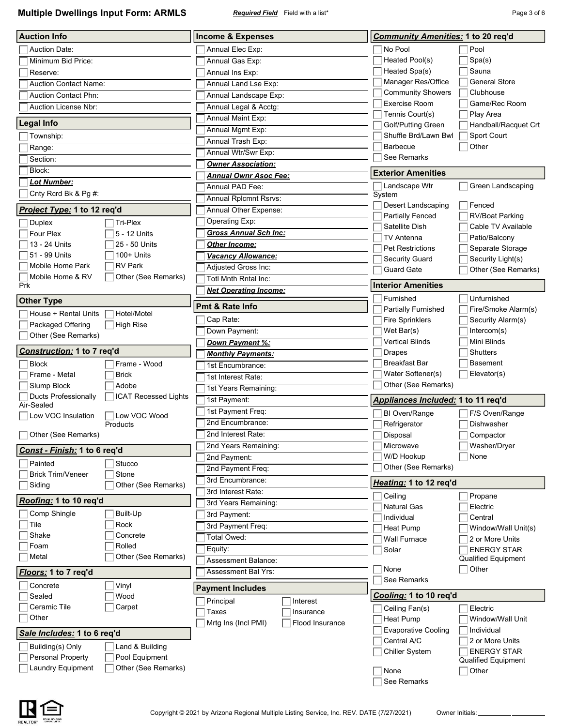**Multiple Dwellings Input Form: ARMLS** *Required Field* Field with a list\* **Page 3 of 6** Page 3 of 6

| <b>Auction Info</b>                           |                                       | <b>Income &amp; Expenses</b>           | <b>Community Amenities: 1 to 20 reg'd</b> |                                    |
|-----------------------------------------------|---------------------------------------|----------------------------------------|-------------------------------------------|------------------------------------|
| <b>Auction Date:</b>                          |                                       | Annual Elec Exp:                       | No Pool                                   | Pool                               |
| Minimum Bid Price:                            |                                       | Annual Gas Exp:                        | Heated Pool(s)                            | Spa(s)                             |
| Reserve:                                      |                                       | Annual Ins Exp:                        | Heated Spa(s)                             | Sauna                              |
| <b>Auction Contact Name:</b>                  |                                       | Annual Land Lse Exp:                   | Manager Res/Office                        | <b>General Store</b>               |
| <b>Auction Contact Phn:</b>                   |                                       | Annual Landscape Exp:                  | <b>Community Showers</b>                  | Clubhouse                          |
| <b>Auction License Nbr:</b>                   |                                       | Annual Legal & Acctg:                  | Exercise Room                             | Game/Rec Room                      |
|                                               |                                       | Annual Maint Exp:                      | Tennis Court(s)                           | Play Area                          |
| <b>Legal Info</b>                             |                                       | Annual Mgmt Exp:                       | Golf/Putting Green                        | Handball/Racquet Crt               |
| Township:                                     |                                       | Annual Trash Exp:                      | Shuffle Brd/Lawn Bwl                      | Sport Court                        |
| Range:                                        |                                       | Annual Wtr/Swr Exp:                    | Barbecue<br>See Remarks                   | Other                              |
| Section:                                      |                                       | <b>Owner Association:</b>              |                                           |                                    |
| Block:                                        |                                       | <b>Annual Ownr Asoc Fee:</b>           | <b>Exterior Amenities</b>                 |                                    |
| <b>Lot Number:</b>                            |                                       | Annual PAD Fee:                        | Landscape Wtr                             | Green Landscaping                  |
| Cnty Rcrd Bk & Pg #:                          |                                       | Annual Rplcmnt Rsrvs:                  | System                                    |                                    |
| Project Type: 1 to 12 req'd                   |                                       | Annual Other Expense:                  | Desert Landscaping                        | Fenced                             |
| Duplex                                        | Tri-Plex                              | Operating Exp:                         | Partially Fenced                          | <b>RV/Boat Parking</b>             |
| Four Plex                                     | 5 - 12 Units                          | <b>Gross Annual Sch Inc:</b>           | Satellite Dish<br>TV Antenna              | Cable TV Available                 |
| 13 - 24 Units                                 | 25 - 50 Units                         | <u> Other Income:</u>                  | <b>Pet Restrictions</b>                   | Patio/Balcony<br>Separate Storage  |
| 51 - 99 Units                                 | $100+$ Units                          | <b>Vacancy Allowance:</b>              | Security Guard                            | Security Light(s)                  |
| Mobile Home Park                              | <b>RV Park</b>                        | Adjusted Gross Inc:                    | <b>Guard Gate</b>                         | Other (See Remarks)                |
| Mobile Home & RV                              | Other (See Remarks)                   | Totl Mnth Rntal Inc:                   |                                           |                                    |
| Prk                                           |                                       | <b>Net Operating Income:</b>           | <b>Interior Amenities</b>                 |                                    |
| <b>Other Type</b>                             |                                       | <b>Pmt &amp; Rate Info</b>             | Furnished<br>Partially Furnished          | Unfurnished<br>Fire/Smoke Alarm(s) |
| House + Rental Units                          | Hotel/Motel                           | Cap Rate:                              | <b>Fire Sprinklers</b>                    | Security Alarm(s)                  |
| Packaged Offering                             | <b>High Rise</b>                      | Down Payment:                          | Wet Bar(s)                                | Intercom(s)                        |
| Other (See Remarks)                           |                                       | <b>Down Payment %:</b>                 | <b>Vertical Blinds</b>                    | Mini Blinds                        |
| Construction: 1 to 7 req'd                    |                                       | <b>Monthly Payments:</b>               | <b>Drapes</b>                             | <b>Shutters</b>                    |
| <b>Block</b>                                  | Frame - Wood                          | 1st Encumbrance:                       | <b>Breakfast Bar</b>                      | <b>Basement</b>                    |
| Frame - Metal                                 | <b>Brick</b>                          | 1st Interest Rate:                     | Water Softener(s)                         | Elevator(s)                        |
| Slump Block                                   | Adobe                                 | 1st Years Remaining:                   | Other (See Remarks)                       |                                    |
| <b>Ducts Professionally</b><br>Air-Sealed     | <b>ICAT Recessed Lights</b>           | 1st Payment:                           | Appliances Included: 1 to 11 req'd        |                                    |
| Low VOC Insulation                            | Low VOC Wood                          | 1st Payment Freq:                      | BI Oven/Range                             | F/S Oven/Range                     |
|                                               | Products                              | 2nd Encumbrance:                       | Refrigerator                              | Dishwasher                         |
| Other (See Remarks)                           |                                       | 2nd Interest Rate:                     | Disposal                                  | Compactor                          |
| Const - Finish: 1 to 6 req'd                  |                                       | 2nd Years Remaining:                   | Microwave                                 | Washer/Dryer                       |
| Painted                                       | Stucco                                | 2nd Payment:                           | W/D Hookup                                | None                               |
| <b>Brick Trim/Veneer</b>                      | Stone                                 | 2nd Payment Freq:                      | Other (See Remarks)                       |                                    |
| Siding                                        | Other (See Remarks)                   | 3rd Encumbrance:                       | Heating: 1 to 12 req'd                    |                                    |
|                                               |                                       | 3rd Interest Rate:                     | Ceiling                                   | Propane                            |
| Roofing: 1 to 10 req'd                        |                                       | 3rd Years Remaining:                   | <b>Natural Gas</b>                        | Electric                           |
| Comp Shingle                                  | Built-Up                              | 3rd Payment:                           | Individual                                | Central                            |
| Tile                                          | Rock                                  | 3rd Payment Freq:                      | Heat Pump                                 | Window/Wall Unit(s)                |
| Shake                                         | Concrete                              | <b>Total Owed:</b>                     | Wall Furnace                              | 2 or More Units                    |
| Foam<br>Metal                                 | Rolled<br>Other (See Remarks)         | Equity:                                | Solar                                     | <b>ENERGY STAR</b>                 |
|                                               |                                       | <b>Assessment Balance:</b>             |                                           | <b>Qualified Equipment</b>         |
| Floors: 1 to 7 req'd                          |                                       | Assessment Bal Yrs:                    | None<br>See Remarks                       | Other                              |
| Concrete<br>Sealed                            | Vinyl<br>Wood                         | <b>Payment Includes</b>                | Cooling: 1 to 10 req'd                    |                                    |
| Ceramic Tile                                  | Carpet                                | Interest<br>Principal                  |                                           |                                    |
| Other                                         |                                       | Taxes<br>Insurance                     | Ceiling Fan(s)<br>Heat Pump               | Electric<br>Window/Wall Unit       |
| Sale Includes: 1 to 6 req'd                   |                                       | Flood Insurance<br>Mrtg Ins (Incl PMI) | <b>Evaporative Cooling</b>                | Individual                         |
|                                               |                                       |                                        | Central A/C                               | 2 or More Units                    |
| Building(s) Only                              | Land & Building                       |                                        | <b>Chiller System</b>                     | <b>ENERGY STAR</b>                 |
| Personal Property<br><b>Laundry Equipment</b> | Pool Equipment<br>Other (See Remarks) |                                        |                                           | <b>Qualified Equipment</b>         |
|                                               |                                       |                                        | None<br>See Remarks                       | Other                              |

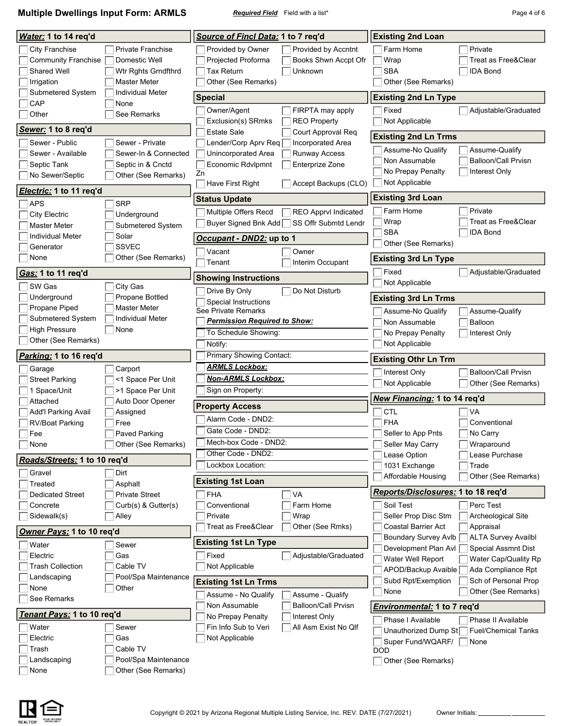**Multiple Dwellings Input Form: ARMLS** *Required Field* Field with a list\* **Page 4 of 6** Page 4 of 6

| Water: 1 to 14 req'd                                                      |                                                                                         | Source of Fincl Data: 1 to 7 req'd                                                                                                            | <b>Existing 2nd Loan</b>                                                                                    |
|---------------------------------------------------------------------------|-----------------------------------------------------------------------------------------|-----------------------------------------------------------------------------------------------------------------------------------------------|-------------------------------------------------------------------------------------------------------------|
| City Franchise<br><b>Community Franchise</b><br>Shared Well<br>Irrigation | <b>Private Franchise</b><br>Domestic Well<br>Wtr Rghts Grndfthrd<br><b>Master Meter</b> | Provided by Owner<br>Provided by Accntnt<br>Projected Proforma<br>Books Shwn Accpt Ofr<br><b>Tax Return</b><br>Unknown<br>Other (See Remarks) | Farm Home<br>Private<br>Wrap<br>Treat as Free&Clear<br><b>SBA</b><br><b>IDA Bond</b><br>Other (See Remarks) |
| Submetered System                                                         | <b>Individual Meter</b>                                                                 | <b>Special</b>                                                                                                                                | <b>Existing 2nd Ln Type</b>                                                                                 |
| CAP                                                                       | None                                                                                    | Owner/Agent<br>FIRPTA may apply                                                                                                               | Fixed<br>Adjustable/Graduated                                                                               |
| Other                                                                     | See Remarks                                                                             | <b>REO Property</b><br>Exclusion(s) SRmks                                                                                                     | Not Applicable                                                                                              |
| <u>Sewer:</u> 1 to 8 req'd                                                |                                                                                         | <b>Estate Sale</b><br>Court Approval Req                                                                                                      | <b>Existing 2nd Ln Trms</b>                                                                                 |
| Sewer - Public                                                            | Sewer - Private                                                                         | Lender/Corp Aprv Req<br>Incorporated Area                                                                                                     | Assume-No Qualify<br>Assume-Qualify                                                                         |
| Sewer - Available                                                         | Sewer-In & Connected                                                                    | Unincorporated Area<br><b>Runway Access</b>                                                                                                   | Non Assumable<br><b>Balloon/Call Prvisn</b>                                                                 |
| Septic Tank                                                               | Septic in & Cnctd                                                                       | Economic Rdvlpmnt<br><b>Enterprize Zone</b><br>Zn                                                                                             | No Prepay Penalty<br>Interest Only                                                                          |
| No Sewer/Septic                                                           | Other (See Remarks)                                                                     | Accept Backups (CLO)<br>Have First Right                                                                                                      | Not Applicable                                                                                              |
| Electric: 1 to 11 req'd                                                   |                                                                                         | <b>Status Update</b>                                                                                                                          | <b>Existing 3rd Loan</b>                                                                                    |
| <b>APS</b>                                                                | <b>SRP</b>                                                                              | Multiple Offers Recd<br><b>REO Apprvl Indicated</b>                                                                                           | Farm Home<br>Private                                                                                        |
| <b>City Electric</b><br><b>Master Meter</b>                               | Underground<br>Submetered System                                                        | SS Offr Submtd Lendr<br><b>Buyer Signed Bnk Add</b>                                                                                           | Treat as Free&Clear<br>Wrap                                                                                 |
| <b>Individual Meter</b>                                                   | Solar                                                                                   |                                                                                                                                               | <b>SBA</b><br><b>IDA Bond</b>                                                                               |
| Generator                                                                 | <b>SSVEC</b>                                                                            | Occupant - DND2: up to 1                                                                                                                      | Other (See Remarks)                                                                                         |
| None                                                                      | Other (See Remarks)                                                                     | Vacant<br>Owner                                                                                                                               | <b>Existing 3rd Ln Type</b>                                                                                 |
| Gas: 1 to 11 req'd                                                        |                                                                                         | Interim Occupant<br>Tenant                                                                                                                    | Fixed<br>Adjustable/Graduated                                                                               |
| SW Gas                                                                    | City Gas                                                                                | <b>Showing Instructions</b>                                                                                                                   | Not Applicable                                                                                              |
| Underground                                                               | Propane Bottled                                                                         | Do Not Disturb<br>Drive By Only                                                                                                               | <b>Existing 3rd Ln Trms</b>                                                                                 |
| Propane Piped                                                             | Master Meter                                                                            | Special Instructions<br>See Private Remarks                                                                                                   |                                                                                                             |
| Submetered System                                                         | Individual Meter                                                                        | <b>Permission Required to Show:</b>                                                                                                           | Assume-Qualify<br>Assume-No Qualify<br>Non Assumable<br>Balloon                                             |
| <b>High Pressure</b>                                                      | None                                                                                    | To Schedule Showing:                                                                                                                          | No Prepay Penalty<br>Interest Only                                                                          |
| Other (See Remarks)                                                       |                                                                                         | Notify:                                                                                                                                       | Not Applicable                                                                                              |
|                                                                           |                                                                                         |                                                                                                                                               |                                                                                                             |
|                                                                           |                                                                                         | Primary Showing Contact:                                                                                                                      |                                                                                                             |
| Parking: 1 to 16 req'd                                                    |                                                                                         | <b>ARMLS Lockbox:</b>                                                                                                                         | <b>Existing Othr Ln Trm</b>                                                                                 |
| Garage<br><b>Street Parking</b>                                           | Carport<br><1 Space Per Unit                                                            | <b>Non-ARMLS Lockbox:</b>                                                                                                                     | <b>Balloon/Call Prvisn</b><br>Interest Only                                                                 |
| Space/Unit                                                                | >1 Space Per Unit                                                                       | Sign on Property:                                                                                                                             | Not Applicable<br>Other (See Remarks)                                                                       |
| Attached                                                                  | Auto Door Opener                                                                        |                                                                                                                                               | New Financing: 1 to 14 req'd                                                                                |
| Add'l Parking Avail                                                       | Assigned                                                                                | <b>Property Access</b>                                                                                                                        | <b>CTL</b><br>VA                                                                                            |
| <b>RV/Boat Parking</b>                                                    | Free                                                                                    | Alarm Code - DND2:                                                                                                                            | <b>FHA</b><br>Conventional                                                                                  |
| Fee                                                                       | Paved Parking                                                                           | Gate Code - DND2:                                                                                                                             | No Carry<br>Seller to App Pnts                                                                              |
| None                                                                      | Other (See Remarks)                                                                     | Mech-box Code - DND2:                                                                                                                         | Seller May Carry<br>Wraparound                                                                              |
| Roads/Streets: 1 to 10 req'd                                              |                                                                                         | Other Code - DND2:                                                                                                                            | Lease Option<br>Lease Purchase                                                                              |
| Gravel                                                                    | Dirt                                                                                    | Lockbox Location:                                                                                                                             | 1031 Exchange<br>Trade<br>Affordable Housing                                                                |
| Treated                                                                   | Asphalt                                                                                 | <b>Existing 1st Loan</b>                                                                                                                      | Other (See Remarks)                                                                                         |
| <b>Dedicated Street</b>                                                   | <b>Private Street</b>                                                                   | VA<br><b>FHA</b>                                                                                                                              | Reports/Disclosures: 1 to 18 reg'd                                                                          |
| Concrete                                                                  | Curb(s) & Gutter(s)                                                                     | Farm Home<br>Conventional                                                                                                                     | Perc Test<br>Soil Test                                                                                      |
| Sidewalk(s)                                                               | Alley                                                                                   | Private<br>Wrap                                                                                                                               | Seller Prop Disc Stm<br>Archeological Site                                                                  |
| Owner Pays: 1 to 10 req'd                                                 |                                                                                         | Other (See Rmks)<br>Treat as Free&Clear                                                                                                       | <b>Coastal Barrier Act</b><br>Appraisal                                                                     |
| Water                                                                     | Sewer                                                                                   | <b>Existing 1st Ln Type</b>                                                                                                                   | Boundary Survey Avlb<br><b>ALTA Survey Availbl</b><br>Development Plan AvI<br><b>Special Assmnt Dist</b>    |
| Electric                                                                  | Gas                                                                                     | Fixed<br>Adjustable/Graduated                                                                                                                 | Water Well Report<br>Water Cap/Quality Rp                                                                   |
| <b>Trash Collection</b>                                                   | Cable TV                                                                                | Not Applicable                                                                                                                                | APOD/Backup Avaible<br>Ada Compliance Rpt                                                                   |
| Landscaping                                                               | Pool/Spa Maintenance                                                                    | <b>Existing 1st Ln Trms</b>                                                                                                                   | Subd Rpt/Exemption<br>Sch of Personal Prop                                                                  |
| None<br>See Remarks                                                       | Other                                                                                   | Assume - Qualify<br>Assume - No Qualify                                                                                                       | Other (See Remarks)<br>None                                                                                 |
|                                                                           |                                                                                         | Non Assumable<br><b>Balloon/Call Prvisn</b>                                                                                                   | <b>Environmental: 1 to 7 reg'd</b>                                                                          |
| <u> Tenant Pays:</u> 1 to 10 req'd                                        |                                                                                         | No Prepay Penalty<br>Interest Only                                                                                                            | Phase I Available<br>Phase II Available                                                                     |
| Water                                                                     | Sewer                                                                                   | All Asm Exist No Qlf<br>Fin Info Sub to Veri                                                                                                  | Unauthorized Dump St<br><b>Fuel/Chemical Tanks</b>                                                          |
| Electric                                                                  | Gas                                                                                     | Not Applicable                                                                                                                                | Super Fund/WQARF/<br>None                                                                                   |
| Trash<br>Landscaping                                                      | Cable TV<br>Pool/Spa Maintenance                                                        |                                                                                                                                               | DOD<br>Other (See Remarks)                                                                                  |

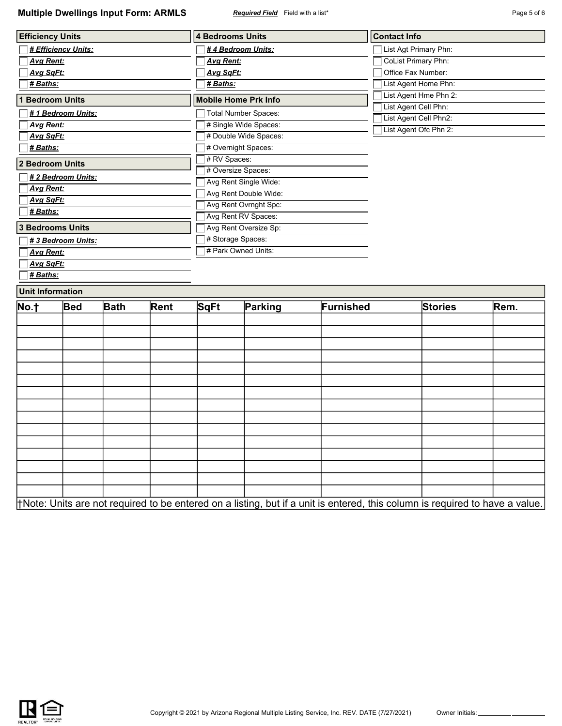|                                      | <b>Efficiency Units</b> |             |      | <b>4 Bedrooms Units</b>                  |                             |           | <b>Contact Info</b>        |                                               |      |  |
|--------------------------------------|-------------------------|-------------|------|------------------------------------------|-----------------------------|-----------|----------------------------|-----------------------------------------------|------|--|
| # Efficiency Units:                  |                         |             |      | #4 Bedroom Units:                        |                             |           | List Agt Primary Phn:      |                                               |      |  |
| <b>Avg Rent:</b>                     |                         |             |      | <b>Avg Rent:</b>                         |                             |           | <b>CoList Primary Phn:</b> |                                               |      |  |
| <b>Avg SqFt:</b>                     |                         |             |      | <b>Avg SqFt:</b>                         |                             |           | Office Fax Number:         |                                               |      |  |
| <u># Baths:</u>                      |                         |             |      | # Baths:                                 |                             |           | List Agent Home Phn:       |                                               |      |  |
| <b>Bedroom Units</b>                 |                         |             |      | <b>Mobile Home Prk Info</b>              |                             |           | List Agent Hme Phn 2:      |                                               |      |  |
| # 1 Bedroom Units:                   |                         |             |      |                                          | <b>Total Number Spaces:</b> |           |                            | List Agent Cell Phn:<br>List Agent Cell Phn2: |      |  |
| <b>Avg Rent:</b>                     |                         |             |      | # Single Wide Spaces:                    |                             |           | List Agent Ofc Phn 2:      |                                               |      |  |
| <b>Avg SqFt:</b>                     |                         |             |      |                                          | # Double Wide Spaces:       |           |                            |                                               |      |  |
| # Baths:                             |                         |             |      |                                          | # Overnight Spaces:         |           |                            |                                               |      |  |
| 2 Bedroom Units                      |                         |             |      | # RV Spaces:                             |                             |           |                            |                                               |      |  |
| # 2 Bedroom Units:                   |                         |             |      | # Oversize Spaces:                       |                             |           |                            |                                               |      |  |
| <b>Avg Rent:</b>                     |                         |             |      |                                          | Avg Rent Single Wide:       |           |                            |                                               |      |  |
| <b>Avg SqFt:</b>                     |                         |             |      | Avg Rent Double Wide:                    |                             |           |                            |                                               |      |  |
| # Baths:                             |                         |             |      |                                          | Avg Rent Ovrnght Spc:       |           |                            |                                               |      |  |
|                                      |                         |             |      | Avg Rent RV Spaces:                      |                             |           |                            |                                               |      |  |
| <b>3 Bedrooms Units</b>              |                         |             |      | Avg Rent Oversize Sp:                    |                             |           |                            |                                               |      |  |
| # 3 Bedroom Units:                   |                         |             |      | # Storage Spaces:<br># Park Owned Units: |                             |           |                            |                                               |      |  |
| <b>Avg Rent:</b><br><b>Avg SqFt:</b> |                         |             |      |                                          |                             |           |                            |                                               |      |  |
| # Baths:                             |                         |             |      |                                          |                             |           |                            |                                               |      |  |
|                                      |                         |             |      |                                          |                             |           |                            |                                               |      |  |
|                                      | <b>Unit Information</b> |             |      |                                          |                             |           |                            |                                               |      |  |
| No.†                                 | <b>Bed</b>              |             |      |                                          |                             |           |                            |                                               |      |  |
|                                      |                         | <b>Bath</b> | Rent | <b>SqFt</b>                              | Parking                     | Furnished |                            | <b>Stories</b>                                | Rem. |  |
|                                      |                         |             |      |                                          |                             |           |                            |                                               |      |  |
|                                      |                         |             |      |                                          |                             |           |                            |                                               |      |  |
|                                      |                         |             |      |                                          |                             |           |                            |                                               |      |  |
|                                      |                         |             |      |                                          |                             |           |                            |                                               |      |  |
|                                      |                         |             |      |                                          |                             |           |                            |                                               |      |  |
|                                      |                         |             |      |                                          |                             |           |                            |                                               |      |  |
|                                      |                         |             |      |                                          |                             |           |                            |                                               |      |  |
|                                      |                         |             |      |                                          |                             |           |                            |                                               |      |  |
|                                      |                         |             |      |                                          |                             |           |                            |                                               |      |  |
|                                      |                         |             |      |                                          |                             |           |                            |                                               |      |  |
|                                      |                         |             |      |                                          |                             |           |                            |                                               |      |  |
|                                      |                         |             |      |                                          |                             |           |                            |                                               |      |  |
|                                      |                         |             |      |                                          |                             |           |                            |                                               |      |  |
|                                      |                         |             |      |                                          |                             |           |                            |                                               |      |  |
|                                      |                         |             |      |                                          |                             |           |                            |                                               |      |  |

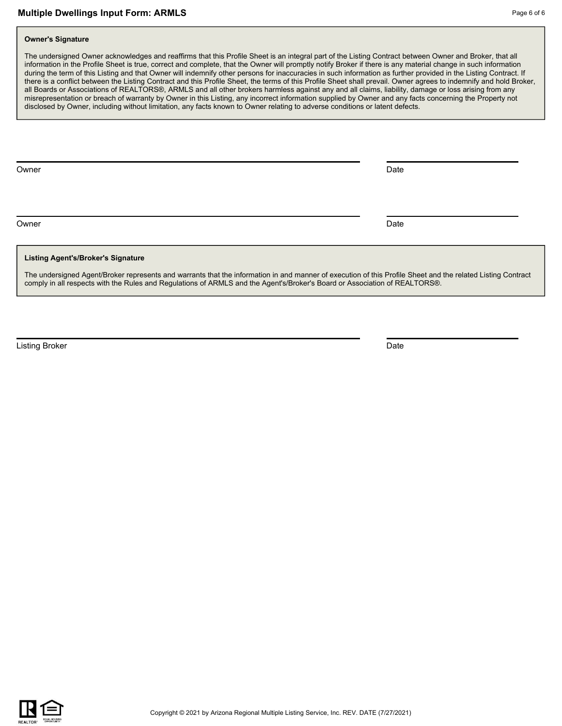## **Owner's Signature**

The undersigned Owner acknowledges and reaffirms that this Profile Sheet is an integral part of the Listing Contract between Owner and Broker, that all information in the Profile Sheet is true, correct and complete, that the Owner will promptly notify Broker if there is any material change in such information during the term of this Listing and that Owner will indemnify other persons for inaccuracies in such information as further provided in the Listing Contract. If there is a conflict between the Listing Contract and this Profile Sheet, the terms of this Profile Sheet shall prevail. Owner agrees to indemnify and hold Broker, all Boards or Associations of REALTORS®, ARMLS and all other brokers harmless against any and all claims, liability, damage or loss arising from any misrepresentation or breach of warranty by Owner in this Listing, any incorrect information supplied by Owner and any facts concerning the Property not disclosed by Owner, including without limitation, any facts known to Owner relating to adverse conditions or latent defects.

Owner **Date** 

Owner **Date** 

#### **Listing Agent's/Broker's Signature**

The undersigned Agent/Broker represents and warrants that the information in and manner of execution of this Profile Sheet and the related Listing Contract comply in all respects with the Rules and Regulations of ARMLS and the Agent's/Broker's Board or Association of REALTORS®.

**Listing Broker** Date **Date Community Community** Community Community Community Community Community Community Community Community Community Community Community Community Community Community Community Community Community Com